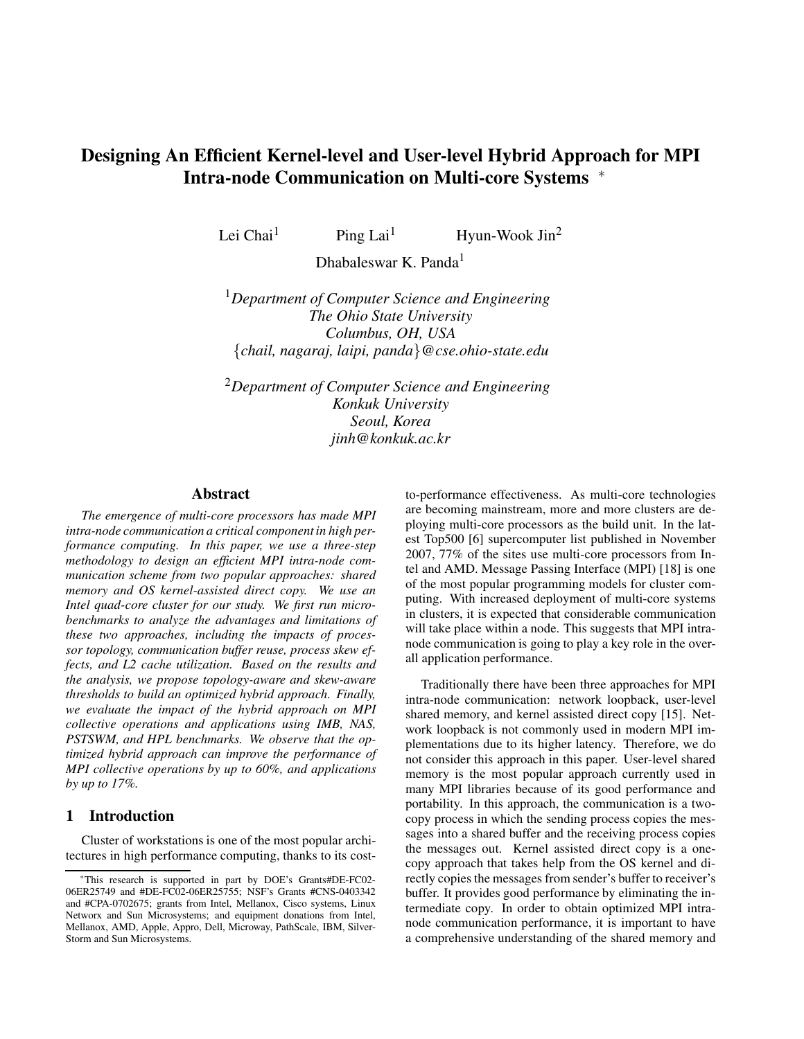# **Designing An Efficient Kernel-level and User-level Hybrid Approach for MPI Intra-node Communication on Multi-core Systems** <sup>∗</sup>

Lei Chai<sup>1</sup> Ping Lai<sup>1</sup> Hyun-Wook Jin<sup>2</sup>

Dhabaleswar K. Panda<sup>1</sup>

<sup>1</sup>*Department of Computer Science and Engineering The Ohio State University Columbus, OH, USA* {*chail, nagaraj, laipi, panda*}*@cse.ohio-state.edu*

<sup>2</sup>*Department of Computer Science and Engineering Konkuk University Seoul, Korea jinh@konkuk.ac.kr*

### **Abstract**

*The emergence of multi-core processors has made MPI intra-node communication a critical component in high performance computing. In this paper, we use a three-step methodology to design an efficient MPI intra-node communication scheme from two popular approaches: shared memory and OS kernel-assisted direct copy. We use an Intel quad-core cluster for our study. We first run microbenchmarks to analyze the advantages and limitations of these two approaches, including the impacts of processor topology, communication buffer reuse, process skew effects, and L2 cache utilization. Based on the results and the analysis, we propose topology-aware and skew-aware thresholds to build an optimized hybrid approach. Finally, we evaluate the impact of the hybrid approach on MPI collective operations and applications using IMB, NAS, PSTSWM, and HPL benchmarks. We observe that the optimized hybrid approach can improve the performance of MPI collective operations by up to 60%, and applications by up to 17%.*

### **1 Introduction**

Cluster of workstations is one of the most popular architectures in high performance computing, thanks to its costto-performance effectiveness. As multi-core technologies are becoming mainstream, more and more clusters are deploying multi-core processors as the build unit. In the latest Top500 [6] supercomputer list published in November 2007, 77% of the sites use multi-core processors from Intel and AMD. Message Passing Interface (MPI) [18] is one of the most popular programming models for cluster computing. With increased deployment of multi-core systems in clusters, it is expected that considerable communication will take place within a node. This suggests that MPI intranode communication is going to play a key role in the overall application performance.

Traditionally there have been three approaches for MPI intra-node communication: network loopback, user-level shared memory, and kernel assisted direct copy [15]. Network loopback is not commonly used in modern MPI implementations due to its higher latency. Therefore, we do not consider this approach in this paper. User-level shared memory is the most popular approach currently used in many MPI libraries because of its good performance and portability. In this approach, the communication is a twocopy process in which the sending process copies the messages into a shared buffer and the receiving process copies the messages out. Kernel assisted direct copy is a onecopy approach that takes help from the OS kernel and directly copies the messages from sender's buffer to receiver's buffer. It provides good performance by eliminating the intermediate copy. In order to obtain optimized MPI intranode communication performance, it is important to have a comprehensive understanding of the shared memory and

<sup>∗</sup>This research is supported in part by DOE's Grants#DE-FC02- 06ER25749 and #DE-FC02-06ER25755; NSF's Grants #CNS-0403342 and #CPA-0702675; grants from Intel, Mellanox, Cisco systems, Linux Networx and Sun Microsystems; and equipment donations from Intel, Mellanox, AMD, Apple, Appro, Dell, Microway, PathScale, IBM, Silver-Storm and Sun Microsystems.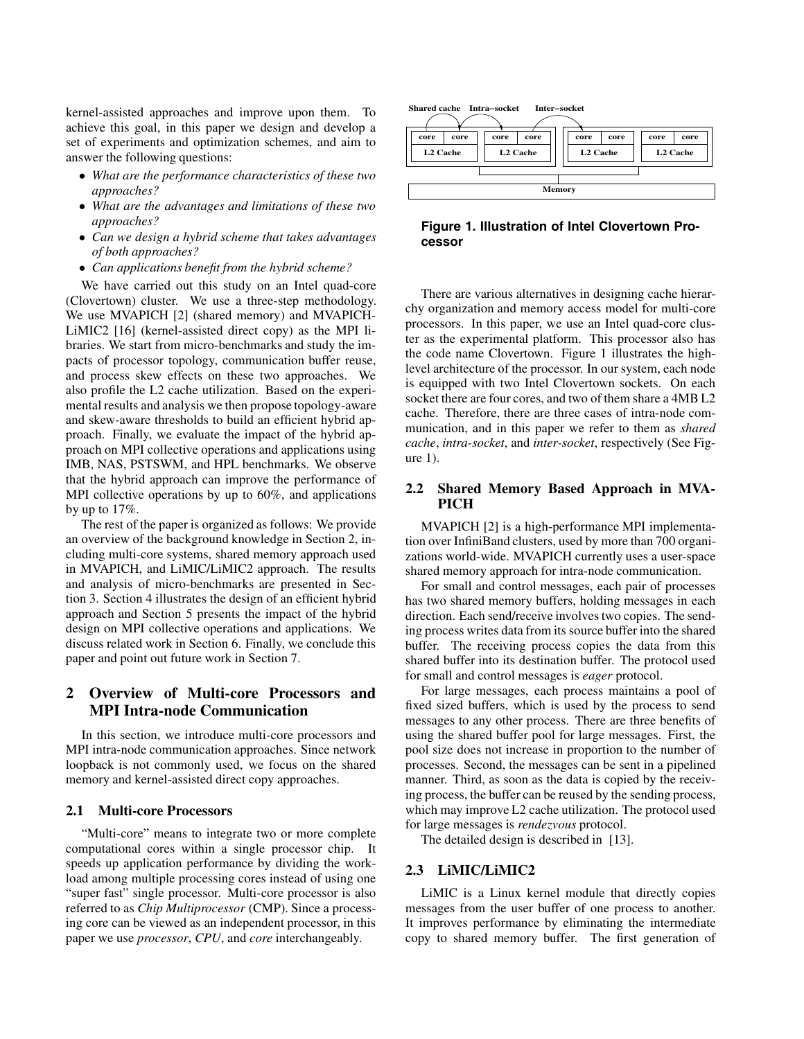kernel-assisted approaches and improve upon them. To achieve this goal, in this paper we design and develop a set of experiments and optimization schemes, and aim to answer the following questions:

- *What are the performance characteristics of these two approaches?*
- *What are the advantages and limitations of these two approaches?*
- *Can we design a hybrid scheme that takes advantages of both approaches?*
- *Can applications benefit from the hybrid scheme?*

We have carried out this study on an Intel quad-core (Clovertown) cluster. We use a three-step methodology. We use MVAPICH [2] (shared memory) and MVAPICH-LiMIC2 [16] (kernel-assisted direct copy) as the MPI libraries. We start from micro-benchmarks and study the impacts of processor topology, communication buffer reuse, and process skew effects on these two approaches. We also profile the L2 cache utilization. Based on the experimental results and analysis we then propose topology-aware and skew-aware thresholds to build an efficient hybrid approach. Finally, we evaluate the impact of the hybrid approach on MPI collective operations and applications using IMB, NAS, PSTSWM, and HPL benchmarks. We observe that the hybrid approach can improve the performance of MPI collective operations by up to 60%, and applications by up to 17%.

The rest of the paper is organized as follows: We provide an overview of the background knowledge in Section 2, including multi-core systems, shared memory approach used in MVAPICH, and LiMIC/LiMIC2 approach. The results and analysis of micro-benchmarks are presented in Section 3. Section 4 illustrates the design of an efficient hybrid approach and Section 5 presents the impact of the hybrid design on MPI collective operations and applications. We discuss related work in Section 6. Finally, we conclude this paper and point out future work in Section 7.

# **2 Overview of Multi-core Processors and MPI Intra-node Communication**

In this section, we introduce multi-core processors and MPI intra-node communication approaches. Since network loopback is not commonly used, we focus on the shared memory and kernel-assisted direct copy approaches.

#### **2.1 Multi-core Processors**

"Multi-core" means to integrate two or more complete computational cores within a single processor chip. It speeds up application performance by dividing the workload among multiple processing cores instead of using one "super fast" single processor. Multi-core processor is also referred to as *Chip Multiprocessor* (CMP). Since a processing core can be viewed as an independent processor, in this paper we use *processor*, *CPU*, and *core* interchangeably.



**Figure 1. Illustration of Intel Clovertown Processor**

There are various alternatives in designing cache hierarchy organization and memory access model for multi-core processors. In this paper, we use an Intel quad-core cluster as the experimental platform. This processor also has the code name Clovertown. Figure 1 illustrates the highlevel architecture of the processor. In our system, each node is equipped with two Intel Clovertown sockets. On each socket there are four cores, and two of them share a 4MB L2 cache. Therefore, there are three cases of intra-node communication, and in this paper we refer to them as *shared cache*, *intra-socket*, and *inter-socket*, respectively (See Figure 1).

### **2.2 Shared Memory Based Approach in MVA-PICH**

MVAPICH [2] is a high-performance MPI implementation over InfiniBand clusters, used by more than 700 organizations world-wide. MVAPICH currently uses a user-space shared memory approach for intra-node communication.

For small and control messages, each pair of processes has two shared memory buffers, holding messages in each direction. Each send/receive involves two copies. The sending process writes data from its source buffer into the shared buffer. The receiving process copies the data from this shared buffer into its destination buffer. The protocol used for small and control messages is *eager* protocol.

For large messages, each process maintains a pool of fixed sized buffers, which is used by the process to send messages to any other process. There are three benefits of using the shared buffer pool for large messages. First, the pool size does not increase in proportion to the number of processes. Second, the messages can be sent in a pipelined manner. Third, as soon as the data is copied by the receiving process, the buffer can be reused by the sending process, which may improve L2 cache utilization. The protocol used for large messages is *rendezvous* protocol.

The detailed design is described in [13].

### **2.3 LiMIC/LiMIC2**

LiMIC is a Linux kernel module that directly copies messages from the user buffer of one process to another. It improves performance by eliminating the intermediate copy to shared memory buffer. The first generation of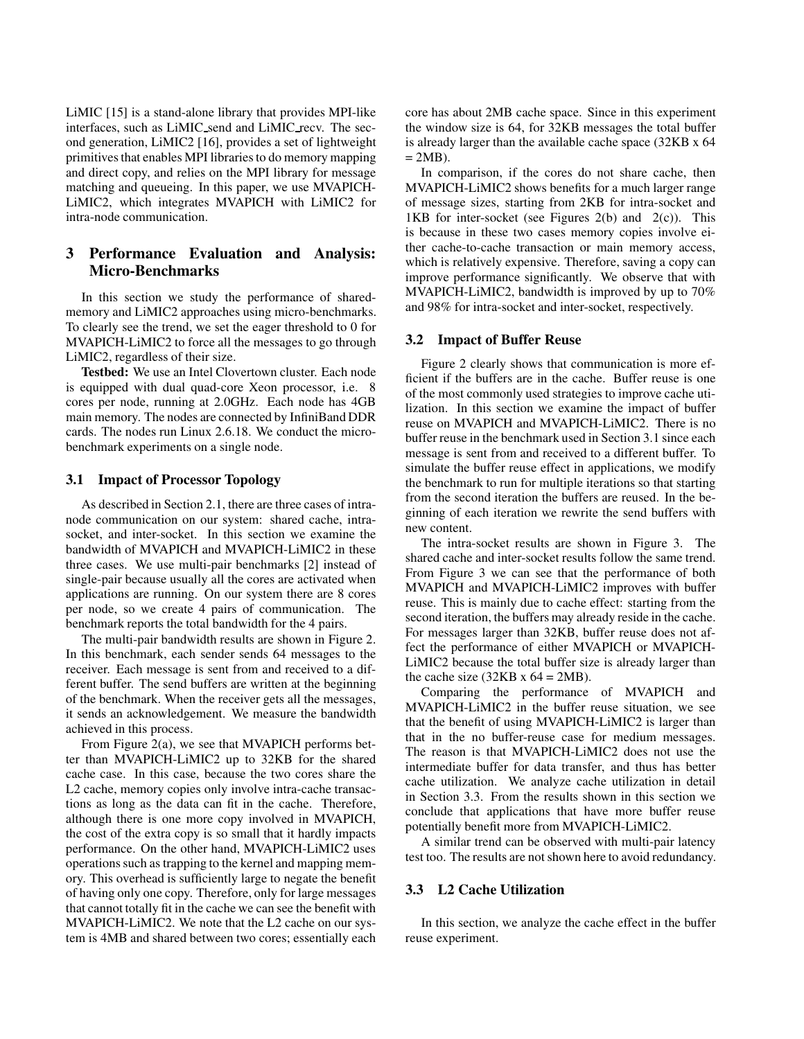LiMIC [15] is a stand-alone library that provides MPI-like interfaces, such as LiMIC send and LiMIC recv. The second generation, LiMIC2 [16], provides a set of lightweight primitives that enables MPI libraries to do memory mapping and direct copy, and relies on the MPI library for message matching and queueing. In this paper, we use MVAPICH-LiMIC2, which integrates MVAPICH with LiMIC2 for intra-node communication.

# **3 Performance Evaluation and Analysis: Micro-Benchmarks**

In this section we study the performance of sharedmemory and LiMIC2 approaches using micro-benchmarks. To clearly see the trend, we set the eager threshold to 0 for MVAPICH-LiMIC2 to force all the messages to go through LiMIC2, regardless of their size.

**Testbed:** We use an Intel Clovertown cluster. Each node is equipped with dual quad-core Xeon processor, i.e. 8 cores per node, running at 2.0GHz. Each node has 4GB main memory. The nodes are connected by InfiniBand DDR cards. The nodes run Linux 2.6.18. We conduct the microbenchmark experiments on a single node.

### **3.1 Impact of Processor Topology**

As described in Section 2.1, there are three cases of intranode communication on our system: shared cache, intrasocket, and inter-socket. In this section we examine the bandwidth of MVAPICH and MVAPICH-LiMIC2 in these three cases. We use multi-pair benchmarks [2] instead of single-pair because usually all the cores are activated when applications are running. On our system there are 8 cores per node, so we create 4 pairs of communication. The benchmark reports the total bandwidth for the 4 pairs.

The multi-pair bandwidth results are shown in Figure 2. In this benchmark, each sender sends 64 messages to the receiver. Each message is sent from and received to a different buffer. The send buffers are written at the beginning of the benchmark. When the receiver gets all the messages, it sends an acknowledgement. We measure the bandwidth achieved in this process.

From Figure 2(a), we see that MVAPICH performs better than MVAPICH-LiMIC2 up to 32KB for the shared cache case. In this case, because the two cores share the L2 cache, memory copies only involve intra-cache transactions as long as the data can fit in the cache. Therefore, although there is one more copy involved in MVAPICH, the cost of the extra copy is so small that it hardly impacts performance. On the other hand, MVAPICH-LiMIC2 uses operations such as trapping to the kernel and mapping memory. This overhead is sufficiently large to negate the benefit of having only one copy. Therefore, only for large messages that cannot totally fit in the cache we can see the benefit with MVAPICH-LiMIC2. We note that the L2 cache on our system is 4MB and shared between two cores; essentially each

core has about 2MB cache space. Since in this experiment the window size is 64, for 32KB messages the total buffer is already larger than the available cache space (32KB x 64  $= 2MB$ ).

In comparison, if the cores do not share cache, then MVAPICH-LiMIC2 shows benefits for a much larger range of message sizes, starting from 2KB for intra-socket and 1KB for inter-socket (see Figures  $2(b)$  and  $2(c)$ ). This is because in these two cases memory copies involve either cache-to-cache transaction or main memory access, which is relatively expensive. Therefore, saving a copy can improve performance significantly. We observe that with MVAPICH-LiMIC2, bandwidth is improved by up to 70% and 98% for intra-socket and inter-socket, respectively.

### **3.2 Impact of Buffer Reuse**

Figure 2 clearly shows that communication is more efficient if the buffers are in the cache. Buffer reuse is one of the most commonly used strategies to improve cache utilization. In this section we examine the impact of buffer reuse on MVAPICH and MVAPICH-LiMIC2. There is no buffer reuse in the benchmark used in Section 3.1 since each message is sent from and received to a different buffer. To simulate the buffer reuse effect in applications, we modify the benchmark to run for multiple iterations so that starting from the second iteration the buffers are reused. In the beginning of each iteration we rewrite the send buffers with new content.

The intra-socket results are shown in Figure 3. The shared cache and inter-socket results follow the same trend. From Figure 3 we can see that the performance of both MVAPICH and MVAPICH-LiMIC2 improves with buffer reuse. This is mainly due to cache effect: starting from the second iteration, the buffers may already reside in the cache. For messages larger than 32KB, buffer reuse does not affect the performance of either MVAPICH or MVAPICH-LiMIC2 because the total buffer size is already larger than the cache size (32KB x  $64 = 2MB$ ).

Comparing the performance of MVAPICH and MVAPICH-LiMIC2 in the buffer reuse situation, we see that the benefit of using MVAPICH-LiMIC2 is larger than that in the no buffer-reuse case for medium messages. The reason is that MVAPICH-LiMIC2 does not use the intermediate buffer for data transfer, and thus has better cache utilization. We analyze cache utilization in detail in Section 3.3. From the results shown in this section we conclude that applications that have more buffer reuse potentially benefit more from MVAPICH-LiMIC2.

A similar trend can be observed with multi-pair latency test too. The results are not shown here to avoid redundancy.

### **3.3 L2 Cache Utilization**

In this section, we analyze the cache effect in the buffer reuse experiment.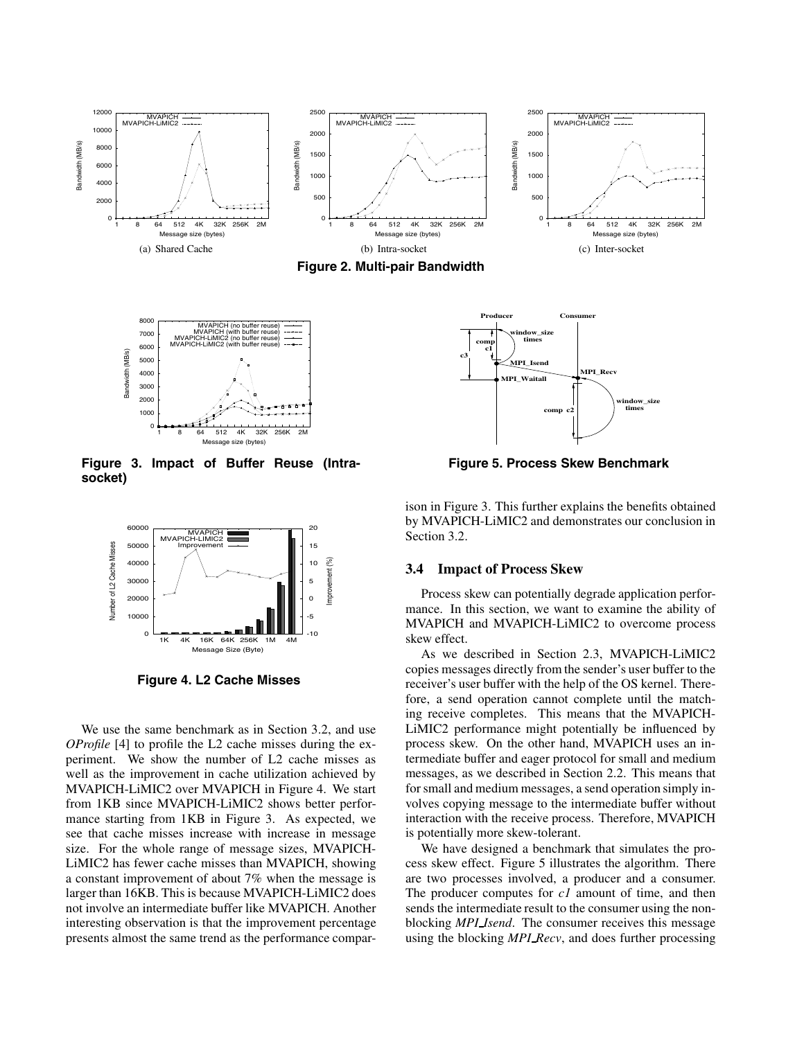





**Figure 3. Impact of Buffer Reuse (Intrasocket)**



**Figure 4. L2 Cache Misses**

We use the same benchmark as in Section 3.2, and use *OProfile* [4] to profile the L2 cache misses during the experiment. We show the number of L2 cache misses as well as the improvement in cache utilization achieved by MVAPICH-LiMIC2 over MVAPICH in Figure 4. We start from 1KB since MVAPICH-LiMIC2 shows better performance starting from 1KB in Figure 3. As expected, we see that cache misses increase with increase in message size. For the whole range of message sizes, MVAPICH-LiMIC2 has fewer cache misses than MVAPICH, showing a constant improvement of about 7% when the message is larger than 16KB. This is because MVAPICH-LiMIC2 does not involve an intermediate buffer like MVAPICH. Another interesting observation is that the improvement percentage presents almost the same trend as the performance compar-



**Figure 5. Process Skew Benchmark**

ison in Figure 3. This further explains the benefits obtained by MVAPICH-LiMIC2 and demonstrates our conclusion in Section 3.2.

#### **3.4 Impact of Process Skew**

Process skew can potentially degrade application performance. In this section, we want to examine the ability of MVAPICH and MVAPICH-LiMIC2 to overcome process skew effect.

As we described in Section 2.3, MVAPICH-LiMIC2 copies messages directly from the sender's user buffer to the receiver's user buffer with the help of the OS kernel. Therefore, a send operation cannot complete until the matching receive completes. This means that the MVAPICH-LiMIC2 performance might potentially be influenced by process skew. On the other hand, MVAPICH uses an intermediate buffer and eager protocol for small and medium messages, as we described in Section 2.2. This means that for small and medium messages, a send operation simply involves copying message to the intermediate buffer without interaction with the receive process. Therefore, MVAPICH is potentially more skew-tolerant.

We have designed a benchmark that simulates the process skew effect. Figure 5 illustrates the algorithm. There are two processes involved, a producer and a consumer. The producer computes for *c1* amount of time, and then sends the intermediate result to the consumer using the nonblocking *MPI Isend*. The consumer receives this message using the blocking *MPI Recv*, and does further processing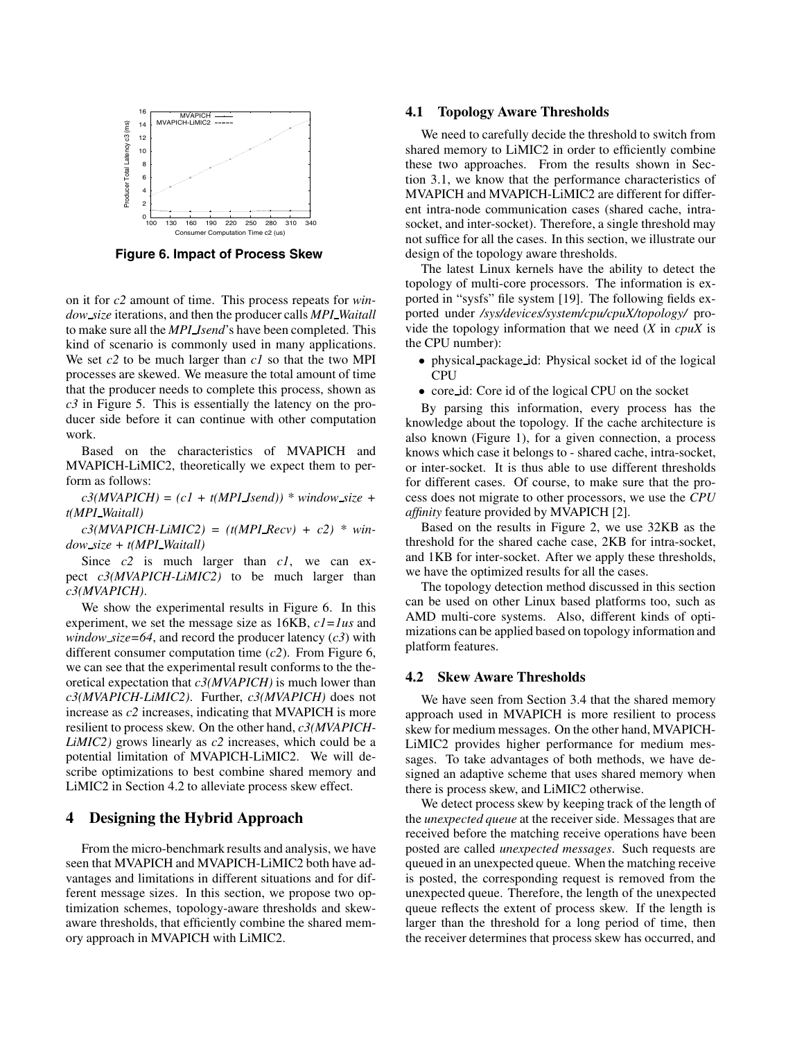

**Figure 6. Impact of Process Skew**

on it for *c2* amount of time. This process repeats for *window size* iterations, and then the producer calls *MPI Waitall* to make sure all the *MPI Isend*'s have been completed. This kind of scenario is commonly used in many applications. We set *c2* to be much larger than *c1* so that the two MPI processes are skewed. We measure the total amount of time that the producer needs to complete this process, shown as *c3* in Figure 5. This is essentially the latency on the producer side before it can continue with other computation work.

Based on the characteristics of MVAPICH and MVAPICH-LiMIC2, theoretically we expect them to perform as follows:

 $c3(MVAPICH) = (c1 + t(MPI\_Isend))$  \* window\_size + *t(MPI Waitall)*

 $c3(MVAPICH-LiMIC2) = (t(MPI\_Recv) + c2) * win$ *dow size + t(MPI Waitall)*

Since *c2* is much larger than *c1*, we can expect *c3(MVAPICH-LiMIC2)* to be much larger than *c3(MVAPICH)*.

We show the experimental results in Figure 6. In this experiment, we set the message size as 16KB, *c1=1us* and *window\_size*=64, and record the producer latency  $(c3)$  with different consumer computation time (*c2*). From Figure 6, we can see that the experimental result conforms to the theoretical expectation that *c3(MVAPICH)* is much lower than *c3(MVAPICH-LiMIC2)*. Further, *c3(MVAPICH)* does not increase as *c2* increases, indicating that MVAPICH is more resilient to process skew. On the other hand, *c3(MVAPICH-LiMIC2)* grows linearly as *c2* increases, which could be a potential limitation of MVAPICH-LiMIC2. We will describe optimizations to best combine shared memory and LiMIC2 in Section 4.2 to alleviate process skew effect.

### **4 Designing the Hybrid Approach**

From the micro-benchmark results and analysis, we have seen that MVAPICH and MVAPICH-LiMIC2 both have advantages and limitations in different situations and for different message sizes. In this section, we propose two optimization schemes, topology-aware thresholds and skewaware thresholds, that efficiently combine the shared memory approach in MVAPICH with LiMIC2.

#### **4.1 Topology Aware Thresholds**

We need to carefully decide the threshold to switch from shared memory to LiMIC2 in order to efficiently combine these two approaches. From the results shown in Section 3.1, we know that the performance characteristics of MVAPICH and MVAPICH-LiMIC2 are different for different intra-node communication cases (shared cache, intrasocket, and inter-socket). Therefore, a single threshold may not suffice for all the cases. In this section, we illustrate our design of the topology aware thresholds.

The latest Linux kernels have the ability to detect the topology of multi-core processors. The information is exported in "sysfs" file system [19]. The following fields exported under */sys/devices/system/cpu/cpuX/topology/* provide the topology information that we need (*X* in *cpuX* is the CPU number):

- physical package id: Physical socket id of the logical CPU
- core id: Core id of the logical CPU on the socket

By parsing this information, every process has the knowledge about the topology. If the cache architecture is also known (Figure 1), for a given connection, a process knows which case it belongs to - shared cache, intra-socket, or inter-socket. It is thus able to use different thresholds for different cases. Of course, to make sure that the process does not migrate to other processors, we use the *CPU affinity* feature provided by MVAPICH [2].

Based on the results in Figure 2, we use 32KB as the threshold for the shared cache case, 2KB for intra-socket, and 1KB for inter-socket. After we apply these thresholds, we have the optimized results for all the cases.

The topology detection method discussed in this section can be used on other Linux based platforms too, such as AMD multi-core systems. Also, different kinds of optimizations can be applied based on topology information and platform features.

### **4.2 Skew Aware Thresholds**

We have seen from Section 3.4 that the shared memory approach used in MVAPICH is more resilient to process skew for medium messages. On the other hand, MVAPICH-LiMIC2 provides higher performance for medium messages. To take advantages of both methods, we have designed an adaptive scheme that uses shared memory when there is process skew, and LiMIC2 otherwise.

We detect process skew by keeping track of the length of the *unexpected queue* at the receiver side. Messages that are received before the matching receive operations have been posted are called *unexpected messages*. Such requests are queued in an unexpected queue. When the matching receive is posted, the corresponding request is removed from the unexpected queue. Therefore, the length of the unexpected queue reflects the extent of process skew. If the length is larger than the threshold for a long period of time, then the receiver determines that process skew has occurred, and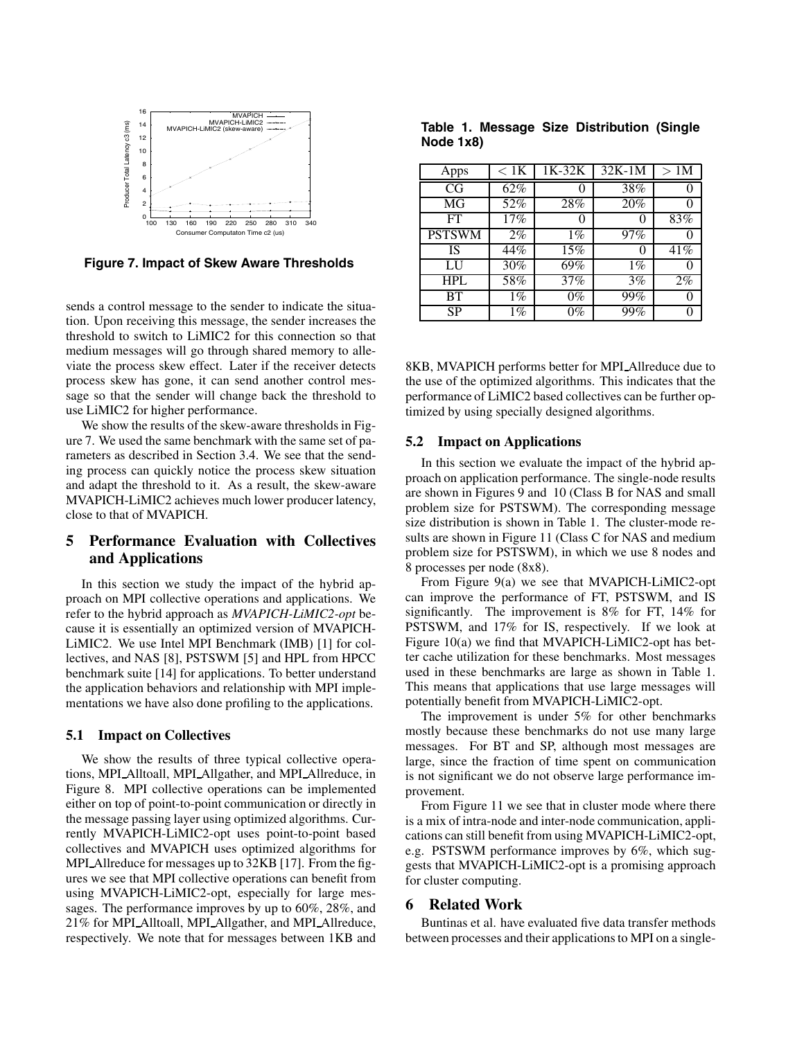

**Figure 7. Impact of Skew Aware Thresholds**

sends a control message to the sender to indicate the situation. Upon receiving this message, the sender increases the threshold to switch to LiMIC2 for this connection so that medium messages will go through shared memory to alleviate the process skew effect. Later if the receiver detects process skew has gone, it can send another control message so that the sender will change back the threshold to use LiMIC2 for higher performance.

We show the results of the skew-aware thresholds in Figure 7. We used the same benchmark with the same set of parameters as described in Section 3.4. We see that the sending process can quickly notice the process skew situation and adapt the threshold to it. As a result, the skew-aware MVAPICH-LiMIC2 achieves much lower producer latency, close to that of MVAPICH.

# **5 Performance Evaluation with Collectives and Applications**

In this section we study the impact of the hybrid approach on MPI collective operations and applications. We refer to the hybrid approach as *MVAPICH-LiMIC2-opt* because it is essentially an optimized version of MVAPICH-LiMIC2. We use Intel MPI Benchmark (IMB) [1] for collectives, and NAS [8], PSTSWM [5] and HPL from HPCC benchmark suite [14] for applications. To better understand the application behaviors and relationship with MPI implementations we have also done profiling to the applications.

### **5.1 Impact on Collectives**

We show the results of three typical collective operations, MPI Alltoall, MPI Allgather, and MPI Allreduce, in Figure 8. MPI collective operations can be implemented either on top of point-to-point communication or directly in the message passing layer using optimized algorithms. Currently MVAPICH-LiMIC2-opt uses point-to-point based collectives and MVAPICH uses optimized algorithms for MPI\_Allreduce for messages up to 32KB [17]. From the figures we see that MPI collective operations can benefit from using MVAPICH-LiMIC2-opt, especially for large messages. The performance improves by up to 60%, 28%, and 21% for MPI Alltoall, MPI Allgather, and MPI Allreduce, respectively. We note that for messages between 1KB and

**Table 1. Message Size Distribution (Single Node 1x8)**

| Apps          | $< 1\mathrm{K}$ | $1K-32K$ | $32K-1M$ | >1M  |
|---------------|-----------------|----------|----------|------|
| CG            | 62%             |          | 38%      |      |
| MG            | 52%             | 28%      | 20%      |      |
| FT            | 17%             |          |          | 83%  |
| <b>PSTSWM</b> | 2%              | $1\%$    | 97%      |      |
| IS            | 44%             | 15%      |          | 41\% |
| LU            | 30%             | 69%      | $1\%$    |      |
| HPL           | 58%             | 37%      | 3%       | 2%   |
| <b>BT</b>     | $1\%$           | $0\%$    | 99%      |      |
| <b>SP</b>     | $1\%$           | 0%       | 99%      |      |

8KB, MVAPICH performs better for MPI Allreduce due to the use of the optimized algorithms. This indicates that the performance of LiMIC2 based collectives can be further optimized by using specially designed algorithms.

#### **5.2 Impact on Applications**

In this section we evaluate the impact of the hybrid approach on application performance. The single-node results are shown in Figures 9 and 10 (Class B for NAS and small problem size for PSTSWM). The corresponding message size distribution is shown in Table 1. The cluster-mode results are shown in Figure 11 (Class C for NAS and medium problem size for PSTSWM), in which we use 8 nodes and 8 processes per node (8x8).

From Figure 9(a) we see that MVAPICH-LiMIC2-opt can improve the performance of FT, PSTSWM, and IS significantly. The improvement is 8% for FT, 14% for PSTSWM, and 17% for IS, respectively. If we look at Figure 10(a) we find that MVAPICH-LiMIC2-opt has better cache utilization for these benchmarks. Most messages used in these benchmarks are large as shown in Table 1. This means that applications that use large messages will potentially benefit from MVAPICH-LiMIC2-opt.

The improvement is under 5% for other benchmarks mostly because these benchmarks do not use many large messages. For BT and SP, although most messages are large, since the fraction of time spent on communication is not significant we do not observe large performance improvement.

From Figure 11 we see that in cluster mode where there is a mix of intra-node and inter-node communication, applications can still benefit from using MVAPICH-LiMIC2-opt, e.g. PSTSWM performance improves by 6%, which suggests that MVAPICH-LiMIC2-opt is a promising approach for cluster computing.

### **6 Related Work**

Buntinas et al. have evaluated five data transfer methods between processes and their applications to MPI on a single-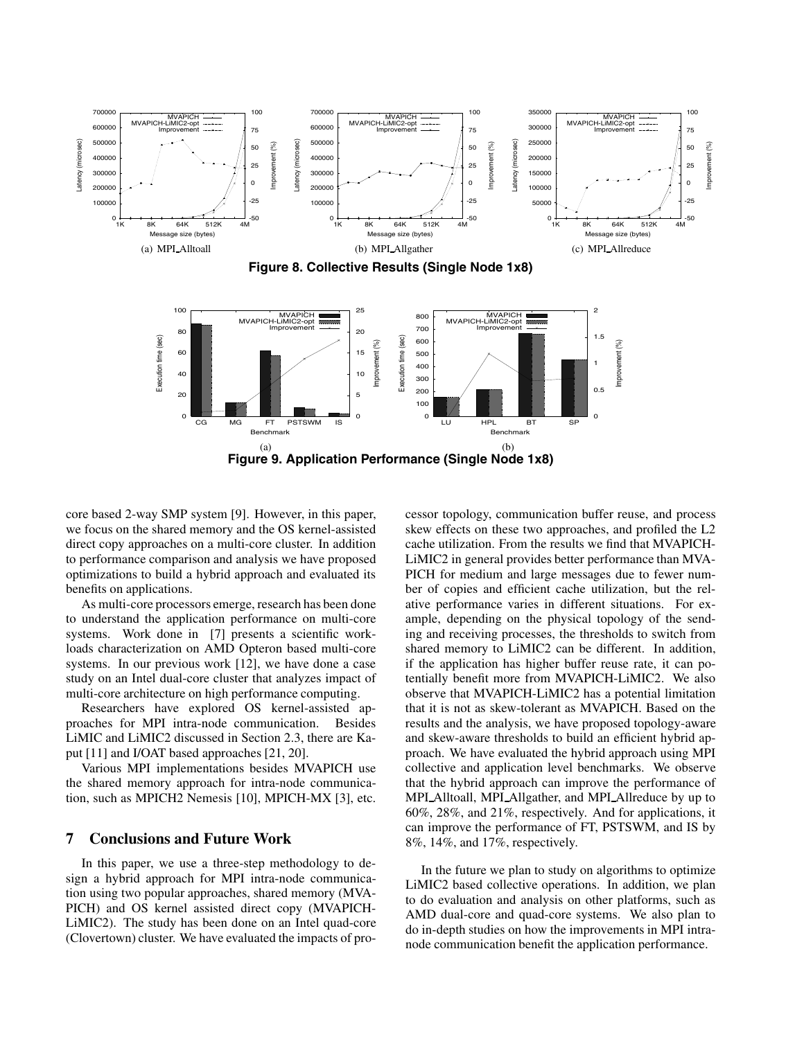

core based 2-way SMP system [9]. However, in this paper, we focus on the shared memory and the OS kernel-assisted direct copy approaches on a multi-core cluster. In addition to performance comparison and analysis we have proposed optimizations to build a hybrid approach and evaluated its benefits on applications.

As multi-core processors emerge, research has been done to understand the application performance on multi-core systems. Work done in [7] presents a scientific workloads characterization on AMD Opteron based multi-core systems. In our previous work [12], we have done a case study on an Intel dual-core cluster that analyzes impact of multi-core architecture on high performance computing.

Researchers have explored OS kernel-assisted approaches for MPI intra-node communication. Besides LiMIC and LiMIC2 discussed in Section 2.3, there are Kaput [11] and I/OAT based approaches [21, 20].

Various MPI implementations besides MVAPICH use the shared memory approach for intra-node communication, such as MPICH2 Nemesis [10], MPICH-MX [3], etc.

### **7 Conclusions and Future Work**

In this paper, we use a three-step methodology to design a hybrid approach for MPI intra-node communication using two popular approaches, shared memory (MVA-PICH) and OS kernel assisted direct copy (MVAPICH-LiMIC2). The study has been done on an Intel quad-core (Clovertown) cluster. We have evaluated the impacts of processor topology, communication buffer reuse, and process skew effects on these two approaches, and profiled the L2 cache utilization. From the results we find that MVAPICH-LiMIC2 in general provides better performance than MVA-PICH for medium and large messages due to fewer number of copies and efficient cache utilization, but the relative performance varies in different situations. For example, depending on the physical topology of the sending and receiving processes, the thresholds to switch from shared memory to LiMIC2 can be different. In addition, if the application has higher buffer reuse rate, it can potentially benefit more from MVAPICH-LiMIC2. We also observe that MVAPICH-LiMIC2 has a potential limitation that it is not as skew-tolerant as MVAPICH. Based on the results and the analysis, we have proposed topology-aware and skew-aware thresholds to build an efficient hybrid approach. We have evaluated the hybrid approach using MPI collective and application level benchmarks. We observe that the hybrid approach can improve the performance of MPI\_Alltoall, MPI\_Allgather, and MPI\_Allreduce by up to 60%, 28%, and 21%, respectively. And for applications, it can improve the performance of FT, PSTSWM, and IS by 8%, 14%, and 17%, respectively.

In the future we plan to study on algorithms to optimize LiMIC2 based collective operations. In addition, we plan to do evaluation and analysis on other platforms, such as AMD dual-core and quad-core systems. We also plan to do in-depth studies on how the improvements in MPI intranode communication benefit the application performance.